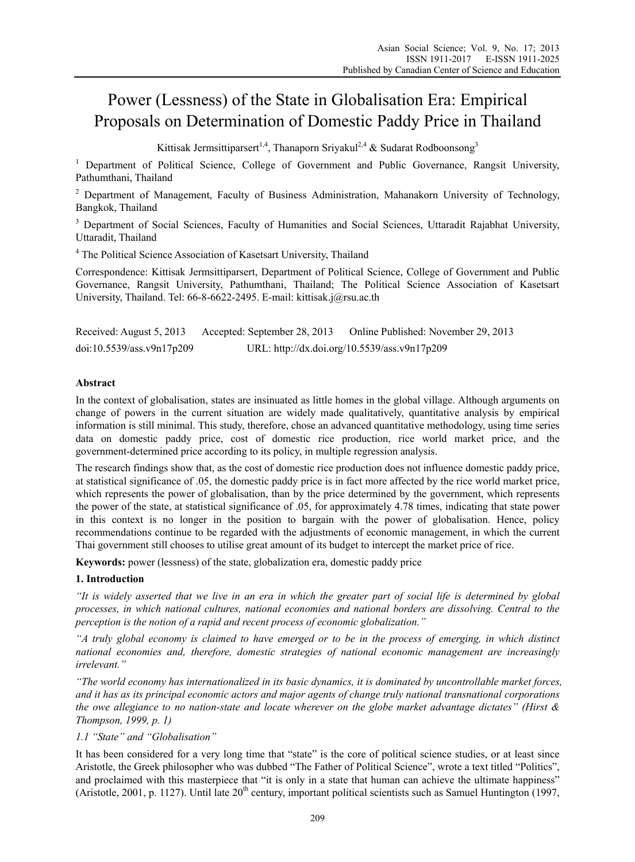# Power (Lessness) of the State in Globalisation Era: Empirical Proposals on Determination of Domestic Paddy Price in Thailand

Kittisak Jermsittiparsert<sup>1,4</sup>, Thanaporn Sriyakul<sup>2,4</sup> & Sudarat Rodboonsong<sup>3</sup>

<sup>1</sup> Department of Political Science, College of Government and Public Governance, Rangsit University, Pathumthani, Thailand

<sup>2</sup> Department of Management, Faculty of Business Administration, Mahanakorn University of Technology, Bangkok, Thailand

<sup>3</sup> Department of Social Sciences, Faculty of Humanities and Social Sciences, Uttaradit Rajabhat University, Uttaradit, Thailand

<sup>4</sup> The Political Science Association of Kasetsart University, Thailand

Correspondence: Kittisak Jermsittiparsert, Department of Political Science, College of Government and Public Governance, Rangsit University, Pathumthani, Thailand; The Political Science Association of Kasetsart University, Thailand. Tel: 66-8-6622-2495. E-mail: kittisak.j@rsu.ac.th

Received: August 5, 2013 Accepted: September 28, 2013 Online Published: November 29, 2013 doi:10.5539/ass.v9n17p209 URL: http://dx.doi.org/10.5539/ass.v9n17p209

## **Abstract**

In the context of globalisation, states are insinuated as little homes in the global village. Although arguments on change of powers in the current situation are widely made qualitatively, quantitative analysis by empirical information is still minimal. This study, therefore, chose an advanced quantitative methodology, using time series data on domestic paddy price, cost of domestic rice production, rice world market price, and the government-determined price according to its policy, in multiple regression analysis.

The research findings show that, as the cost of domestic rice production does not influence domestic paddy price, at statistical significance of .05, the domestic paddy price is in fact more affected by the rice world market price, which represents the power of globalisation, than by the price determined by the government, which represents the power of the state, at statistical significance of .05, for approximately 4.78 times, indicating that state power in this context is no longer in the position to bargain with the power of globalisation. Hence, policy recommendations continue to be regarded with the adjustments of economic management, in which the current Thai government still chooses to utilise great amount of its budget to intercept the market price of rice.

**Keywords:** power (lessness) of the state, globalization era, domestic paddy price

## **1. Introduction**

*"It is widely asserted that we live in an era in which the greater part of social life is determined by global processes, in which national cultures, national economies and national borders are dissolving. Central to the perception is the notion of a rapid and recent process of economic globalization."* 

*"A truly global economy is claimed to have emerged or to be in the process of emerging, in which distinct national economies and, therefore, domestic strategies of national economic management are increasingly irrelevant."* 

*"The world economy has internationalized in its basic dynamics, it is dominated by uncontrollable market forces, and it has as its principal economic actors and major agents of change truly national transnational corporations the owe allegiance to no nation-state and locate wherever on the globe market advantage dictates" (Hirst & Thompson, 1999, p. 1)* 

## *1.1 "State" and "Globalisation"*

It has been considered for a very long time that "state" is the core of political science studies, or at least since Aristotle, the Greek philosopher who was dubbed "The Father of Political Science", wrote a text titled "Politics", and proclaimed with this masterpiece that "it is only in a state that human can achieve the ultimate happiness" (Aristotle, 2001, p. 1127). Until late  $20<sup>th</sup>$  century, important political scientists such as Samuel Huntington (1997,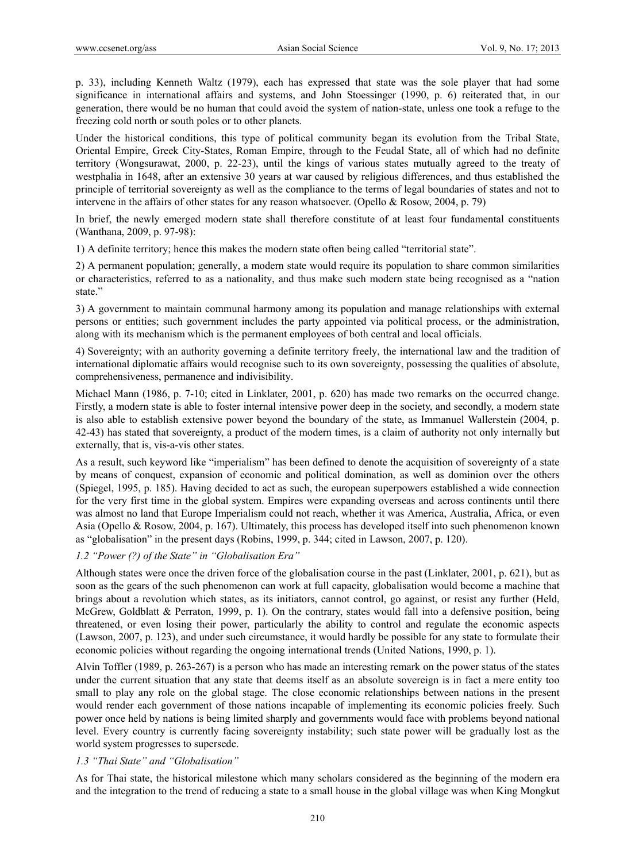p. 33), including Kenneth Waltz (1979), each has expressed that state was the sole player that had some significance in international affairs and systems, and John Stoessinger (1990, p. 6) reiterated that, in our generation, there would be no human that could avoid the system of nation-state, unless one took a refuge to the freezing cold north or south poles or to other planets.

Under the historical conditions, this type of political community began its evolution from the Tribal State, Oriental Empire, Greek City-States, Roman Empire, through to the Feudal State, all of which had no definite territory (Wongsurawat, 2000, p. 22-23), until the kings of various states mutually agreed to the treaty of westphalia in 1648, after an extensive 30 years at war caused by religious differences, and thus established the principle of territorial sovereignty as well as the compliance to the terms of legal boundaries of states and not to intervene in the affairs of other states for any reason whatsoever. (Opello & Rosow, 2004, p. 79)

In brief, the newly emerged modern state shall therefore constitute of at least four fundamental constituents (Wanthana, 2009, p. 97-98):

1) A definite territory; hence this makes the modern state often being called "territorial state".

2) A permanent population; generally, a modern state would require its population to share common similarities or characteristics, referred to as a nationality, and thus make such modern state being recognised as a "nation state."

3) A government to maintain communal harmony among its population and manage relationships with external persons or entities; such government includes the party appointed via political process, or the administration, along with its mechanism which is the permanent employees of both central and local officials.

4) Sovereignty; with an authority governing a definite territory freely, the international law and the tradition of international diplomatic affairs would recognise such to its own sovereignty, possessing the qualities of absolute, comprehensiveness, permanence and indivisibility.

Michael Mann (1986, p. 7-10; cited in Linklater, 2001, p. 620) has made two remarks on the occurred change. Firstly, a modern state is able to foster internal intensive power deep in the society, and secondly, a modern state is also able to establish extensive power beyond the boundary of the state, as Immanuel Wallerstein (2004, p. 42-43) has stated that sovereignty, a product of the modern times, is a claim of authority not only internally but externally, that is, vis-a-vis other states.

As a result, such keyword like "imperialism" has been defined to denote the acquisition of sovereignty of a state by means of conquest, expansion of economic and political domination, as well as dominion over the others (Spiegel, 1995, p. 185). Having decided to act as such, the european superpowers established a wide connection for the very first time in the global system. Empires were expanding overseas and across continents until there was almost no land that Europe Imperialism could not reach, whether it was America, Australia, Africa, or even Asia (Opello & Rosow, 2004, p. 167). Ultimately, this process has developed itself into such phenomenon known as "globalisation" in the present days (Robins, 1999, p. 344; cited in Lawson, 2007, p. 120).

## *1.2 "Power (?) of the State" in "Globalisation Era"*

Although states were once the driven force of the globalisation course in the past (Linklater, 2001, p. 621), but as soon as the gears of the such phenomenon can work at full capacity, globalisation would become a machine that brings about a revolution which states, as its initiators, cannot control, go against, or resist any further (Held, McGrew, Goldblatt & Perraton, 1999, p. 1). On the contrary, states would fall into a defensive position, being threatened, or even losing their power, particularly the ability to control and regulate the economic aspects (Lawson, 2007, p. 123), and under such circumstance, it would hardly be possible for any state to formulate their economic policies without regarding the ongoing international trends (United Nations, 1990, p. 1).

Alvin Toffler (1989, p. 263-267) is a person who has made an interesting remark on the power status of the states under the current situation that any state that deems itself as an absolute sovereign is in fact a mere entity too small to play any role on the global stage. The close economic relationships between nations in the present would render each government of those nations incapable of implementing its economic policies freely. Such power once held by nations is being limited sharply and governments would face with problems beyond national level. Every country is currently facing sovereignty instability; such state power will be gradually lost as the world system progresses to supersede.

## *1.3 "Thai State" and "Globalisation"*

As for Thai state, the historical milestone which many scholars considered as the beginning of the modern era and the integration to the trend of reducing a state to a small house in the global village was when King Mongkut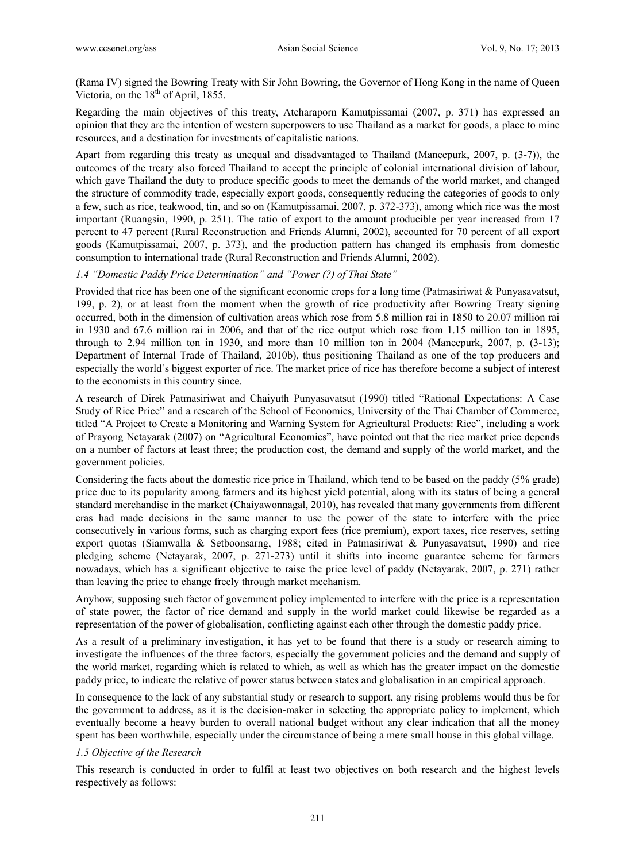(Rama IV) signed the Bowring Treaty with Sir John Bowring, the Governor of Hong Kong in the name of Queen Victoria, on the  $18<sup>th</sup>$  of April, 1855.

Regarding the main objectives of this treaty, Atcharaporn Kamutpissamai (2007, p. 371) has expressed an opinion that they are the intention of western superpowers to use Thailand as a market for goods, a place to mine resources, and a destination for investments of capitalistic nations.

Apart from regarding this treaty as unequal and disadvantaged to Thailand (Maneepurk, 2007, p. (3-7)), the outcomes of the treaty also forced Thailand to accept the principle of colonial international division of labour, which gave Thailand the duty to produce specific goods to meet the demands of the world market, and changed the structure of commodity trade, especially export goods, consequently reducing the categories of goods to only a few, such as rice, teakwood, tin, and so on (Kamutpissamai, 2007, p. 372-373), among which rice was the most important (Ruangsin, 1990, p. 251). The ratio of export to the amount producible per year increased from 17 percent to 47 percent (Rural Reconstruction and Friends Alumni, 2002), accounted for 70 percent of all export goods (Kamutpissamai, 2007, p. 373), and the production pattern has changed its emphasis from domestic consumption to international trade (Rural Reconstruction and Friends Alumni, 2002).

*1.4 "Domestic Paddy Price Determination" and "Power (?) of Thai State"* 

Provided that rice has been one of the significant economic crops for a long time (Patmasiriwat & Punyasavatsut, 199, p. 2), or at least from the moment when the growth of rice productivity after Bowring Treaty signing occurred, both in the dimension of cultivation areas which rose from 5.8 million rai in 1850 to 20.07 million rai in 1930 and 67.6 million rai in 2006, and that of the rice output which rose from 1.15 million ton in 1895, through to 2.94 million ton in 1930, and more than 10 million ton in 2004 (Maneepurk, 2007, p. (3-13); Department of Internal Trade of Thailand, 2010b), thus positioning Thailand as one of the top producers and especially the world's biggest exporter of rice. The market price of rice has therefore become a subject of interest to the economists in this country since.

A research of Direk Patmasiriwat and Chaiyuth Punyasavatsut (1990) titled "Rational Expectations: A Case Study of Rice Price" and a research of the School of Economics, University of the Thai Chamber of Commerce, titled "A Project to Create a Monitoring and Warning System for Agricultural Products: Rice", including a work of Prayong Netayarak (2007) on "Agricultural Economics", have pointed out that the rice market price depends on a number of factors at least three; the production cost, the demand and supply of the world market, and the government policies.

Considering the facts about the domestic rice price in Thailand, which tend to be based on the paddy (5% grade) price due to its popularity among farmers and its highest yield potential, along with its status of being a general standard merchandise in the market (Chaiyawonnagal, 2010), has revealed that many governments from different eras had made decisions in the same manner to use the power of the state to interfere with the price consecutively in various forms, such as charging export fees (rice premium), export taxes, rice reserves, setting export quotas (Siamwalla & Setboonsarng, 1988; cited in Patmasiriwat & Punyasavatsut, 1990) and rice pledging scheme (Netayarak, 2007, p. 271-273) until it shifts into income guarantee scheme for farmers nowadays, which has a significant objective to raise the price level of paddy (Netayarak, 2007, p. 271) rather than leaving the price to change freely through market mechanism.

Anyhow, supposing such factor of government policy implemented to interfere with the price is a representation of state power, the factor of rice demand and supply in the world market could likewise be regarded as a representation of the power of globalisation, conflicting against each other through the domestic paddy price.

As a result of a preliminary investigation, it has yet to be found that there is a study or research aiming to investigate the influences of the three factors, especially the government policies and the demand and supply of the world market, regarding which is related to which, as well as which has the greater impact on the domestic paddy price, to indicate the relative of power status between states and globalisation in an empirical approach.

In consequence to the lack of any substantial study or research to support, any rising problems would thus be for the government to address, as it is the decision-maker in selecting the appropriate policy to implement, which eventually become a heavy burden to overall national budget without any clear indication that all the money spent has been worthwhile, especially under the circumstance of being a mere small house in this global village.

#### *1.5 Objective of the Research*

This research is conducted in order to fulfil at least two objectives on both research and the highest levels respectively as follows: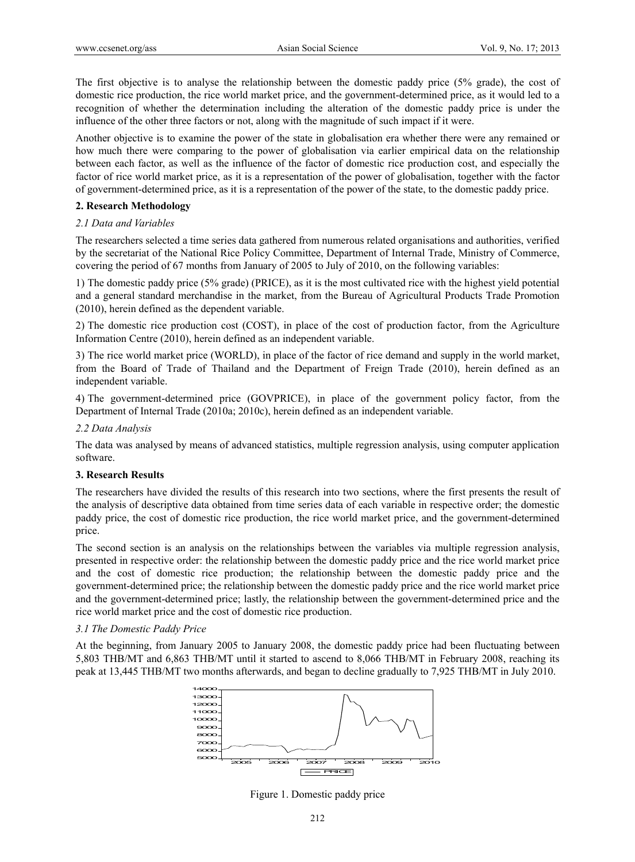The first objective is to analyse the relationship between the domestic paddy price (5% grade), the cost of domestic rice production, the rice world market price, and the government-determined price, as it would led to a recognition of whether the determination including the alteration of the domestic paddy price is under the influence of the other three factors or not, along with the magnitude of such impact if it were.

Another objective is to examine the power of the state in globalisation era whether there were any remained or how much there were comparing to the power of globalisation via earlier empirical data on the relationship between each factor, as well as the influence of the factor of domestic rice production cost, and especially the factor of rice world market price, as it is a representation of the power of globalisation, together with the factor of government-determined price, as it is a representation of the power of the state, to the domestic paddy price.

#### **2. Research Methodology**

#### *2.1 Data and Variables*

The researchers selected a time series data gathered from numerous related organisations and authorities, verified by the secretariat of the National Rice Policy Committee, Department of Internal Trade, Ministry of Commerce, covering the period of 67 months from January of 2005 to July of 2010, on the following variables:

1) The domestic paddy price (5% grade) (PRICE), as it is the most cultivated rice with the highest yield potential and a general standard merchandise in the market, from the Bureau of Agricultural Products Trade Promotion (2010), herein defined as the dependent variable.

2) The domestic rice production cost (COST), in place of the cost of production factor, from the Agriculture Information Centre (2010), herein defined as an independent variable.

3) The rice world market price (WORLD), in place of the factor of rice demand and supply in the world market, from the Board of Trade of Thailand and the Department of Freign Trade (2010), herein defined as an independent variable.

4) The government-determined price (GOVPRICE), in place of the government policy factor, from the Department of Internal Trade (2010a; 2010c), herein defined as an independent variable.

#### *2.2 Data Analysis*

The data was analysed by means of advanced statistics, multiple regression analysis, using computer application software.

#### **3. Research Results**

The researchers have divided the results of this research into two sections, where the first presents the result of the analysis of descriptive data obtained from time series data of each variable in respective order; the domestic paddy price, the cost of domestic rice production, the rice world market price, and the government-determined price.

The second section is an analysis on the relationships between the variables via multiple regression analysis, presented in respective order: the relationship between the domestic paddy price and the rice world market price and the cost of domestic rice production; the relationship between the domestic paddy price and the government-determined price; the relationship between the domestic paddy price and the rice world market price and the government-determined price; lastly, the relationship between the government-determined price and the rice world market price and the cost of domestic rice production.

#### *3.1 The Domestic Paddy Price*

At the beginning, from January 2005 to January 2008, the domestic paddy price had been fluctuating between 5,803 THB/MT and 6,863 THB/MT until it started to ascend to 8,066 THB/MT in February 2008, reaching its peak at 13,445 THB/MT two months afterwards, and began to decline gradually to 7,925 THB/MT in July 2010.



Figure 1. Domestic paddy price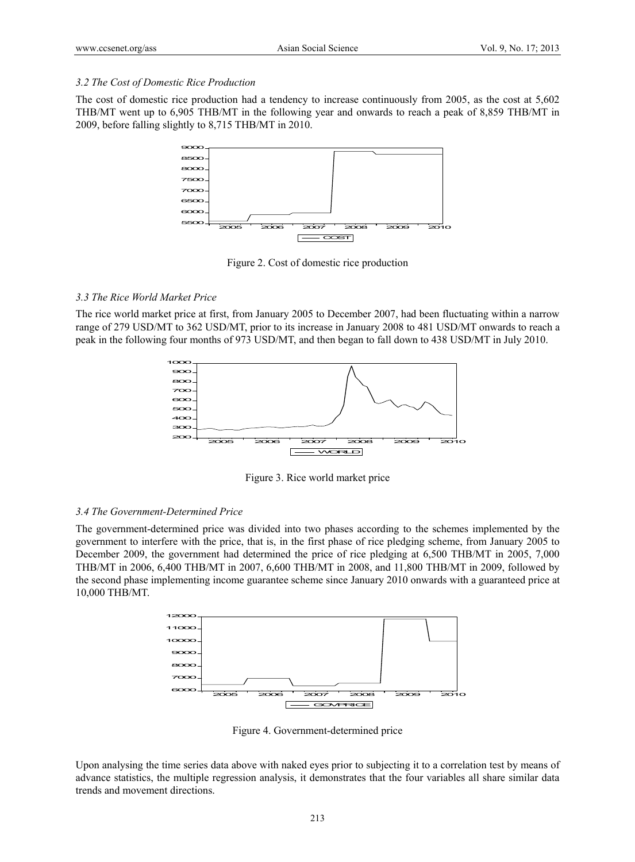#### *3.2 The Cost of Domestic Rice Production*

The cost of domestic rice production had a tendency to increase continuously from 2005, as the cost at 5,602 THB/MT went up to 6,905 THB/MT in the following year and onwards to reach a peak of 8,859 THB/MT in 2009, before falling slightly to 8,715 THB/MT in 2010.



Figure 2. Cost of domestic rice production

#### *3.3 The Rice World Market Price*

The rice world market price at first, from January 2005 to December 2007, had been fluctuating within a narrow range of 279 USD/MT to 362 USD/MT, prior to its increase in January 2008 to 481 USD/MT onwards to reach a peak in the following four months of 973 USD/MT, and then began to fall down to 438 USD/MT in July 2010.



Figure 3. Rice world market price

#### *3.4 The Government-Determined Price*

The government-determined price was divided into two phases according to the schemes implemented by the government to interfere with the price, that is, in the first phase of rice pledging scheme, from January 2005 to December 2009, the government had determined the price of rice pledging at 6,500 THB/MT in 2005, 7,000 THB/MT in 2006, 6,400 THB/MT in 2007, 6,600 THB/MT in 2008, and 11,800 THB/MT in 2009, followed by the second phase implementing income guarantee scheme since January 2010 onwards with a guaranteed price at 10,000 THB/MT.



Figure 4. Government-determined price

Upon analysing the time series data above with naked eyes prior to subjecting it to a correlation test by means of advance statistics, the multiple regression analysis, it demonstrates that the four variables all share similar data trends and movement directions.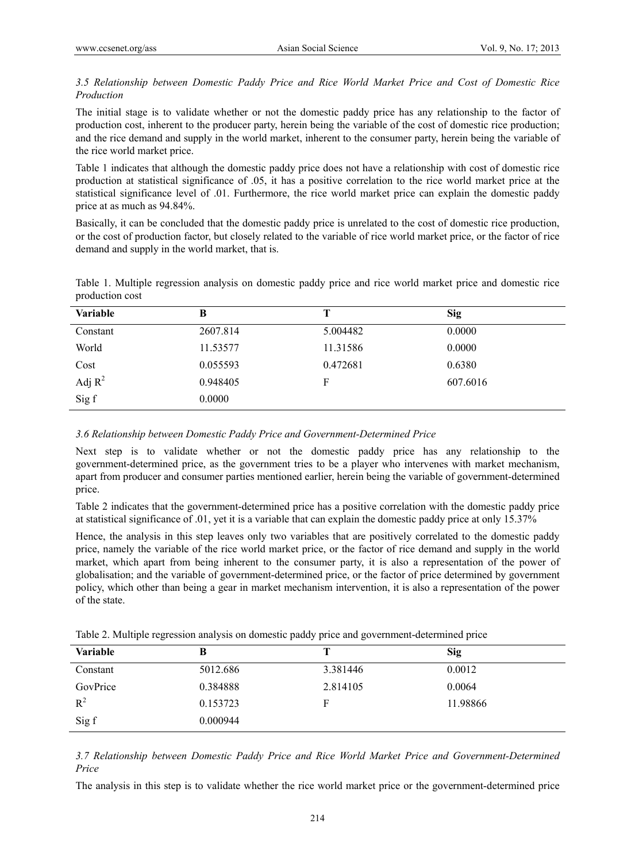## *3.5 Relationship between Domestic Paddy Price and Rice World Market Price and Cost of Domestic Rice Production*

The initial stage is to validate whether or not the domestic paddy price has any relationship to the factor of production cost, inherent to the producer party, herein being the variable of the cost of domestic rice production; and the rice demand and supply in the world market, inherent to the consumer party, herein being the variable of the rice world market price.

Table 1 indicates that although the domestic paddy price does not have a relationship with cost of domestic rice production at statistical significance of .05, it has a positive correlation to the rice world market price at the statistical significance level of .01. Furthermore, the rice world market price can explain the domestic paddy price at as much as 94.84%.

Basically, it can be concluded that the domestic paddy price is unrelated to the cost of domestic rice production, or the cost of production factor, but closely related to the variable of rice world market price, or the factor of rice demand and supply in the world market, that is.

Table 1. Multiple regression analysis on domestic paddy price and rice world market price and domestic rice production cost

| Variable  | B        | т        | <b>Sig</b> |
|-----------|----------|----------|------------|
| Constant  | 2607.814 | 5.004482 | 0.0000     |
| World     | 11.53577 | 11.31586 | 0.0000     |
| Cost      | 0.055593 | 0.472681 | 0.6380     |
| Adj $R^2$ | 0.948405 | F        | 607.6016   |
| Sig f     | 0.0000   |          |            |

#### *3.6 Relationship between Domestic Paddy Price and Government-Determined Price*

Next step is to validate whether or not the domestic paddy price has any relationship to the government-determined price, as the government tries to be a player who intervenes with market mechanism, apart from producer and consumer parties mentioned earlier, herein being the variable of government-determined price.

Table 2 indicates that the government-determined price has a positive correlation with the domestic paddy price at statistical significance of .01, yet it is a variable that can explain the domestic paddy price at only 15.37%

Hence, the analysis in this step leaves only two variables that are positively correlated to the domestic paddy price, namely the variable of the rice world market price, or the factor of rice demand and supply in the world market, which apart from being inherent to the consumer party, it is also a representation of the power of globalisation; and the variable of government-determined price, or the factor of price determined by government policy, which other than being a gear in market mechanism intervention, it is also a representation of the power of the state.

| Table 2. Multiple regression analysis on domestic paddy price and government-determined price |  |  |  |  |  |  |  |
|-----------------------------------------------------------------------------------------------|--|--|--|--|--|--|--|
|-----------------------------------------------------------------------------------------------|--|--|--|--|--|--|--|

| <b>Variable</b> | В        |          | <b>Sig</b> |
|-----------------|----------|----------|------------|
| Constant        | 5012.686 | 3.381446 | 0.0012     |
| GovPrice        | 0.384888 | 2.814105 | 0.0064     |
| $R^2$           | 0.153723 | F        | 11.98866   |
| Sig f           | 0.000944 |          |            |

*3.7 Relationship between Domestic Paddy Price and Rice World Market Price and Government-Determined Price* 

The analysis in this step is to validate whether the rice world market price or the government-determined price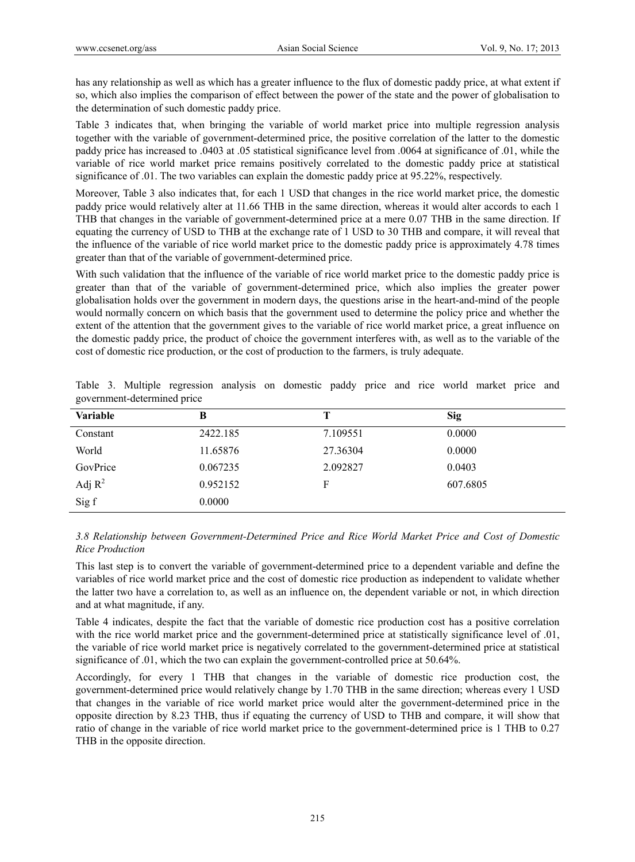has any relationship as well as which has a greater influence to the flux of domestic paddy price, at what extent if so, which also implies the comparison of effect between the power of the state and the power of globalisation to the determination of such domestic paddy price.

Table 3 indicates that, when bringing the variable of world market price into multiple regression analysis together with the variable of government-determined price, the positive correlation of the latter to the domestic paddy price has increased to .0403 at .05 statistical significance level from .0064 at significance of .01, while the variable of rice world market price remains positively correlated to the domestic paddy price at statistical significance of .01. The two variables can explain the domestic paddy price at 95.22%, respectively.

Moreover, Table 3 also indicates that, for each 1 USD that changes in the rice world market price, the domestic paddy price would relatively alter at 11.66 THB in the same direction, whereas it would alter accords to each 1 THB that changes in the variable of government-determined price at a mere 0.07 THB in the same direction. If equating the currency of USD to THB at the exchange rate of 1 USD to 30 THB and compare, it will reveal that the influence of the variable of rice world market price to the domestic paddy price is approximately 4.78 times greater than that of the variable of government-determined price.

With such validation that the influence of the variable of rice world market price to the domestic paddy price is greater than that of the variable of government-determined price, which also implies the greater power globalisation holds over the government in modern days, the questions arise in the heart-and-mind of the people would normally concern on which basis that the government used to determine the policy price and whether the extent of the attention that the government gives to the variable of rice world market price, a great influence on the domestic paddy price, the product of choice the government interferes with, as well as to the variable of the cost of domestic rice production, or the cost of production to the farmers, is truly adequate.

| <b>Variable</b> | B        |          | <b>Sig</b> |
|-----------------|----------|----------|------------|
| Constant        | 2422.185 | 7.109551 | 0.0000     |
| World           | 11.65876 | 27.36304 | 0.0000     |
| GovPrice        | 0.067235 | 2.092827 | 0.0403     |
| Adj $R^2$       | 0.952152 | F        | 607.6805   |
| Sig f           | 0.0000   |          |            |

|  |                             | Table 3. Multiple regression analysis on domestic paddy price and rice world market price and |  |  |  |  |  |  |
|--|-----------------------------|-----------------------------------------------------------------------------------------------|--|--|--|--|--|--|
|  | government-determined price |                                                                                               |  |  |  |  |  |  |

*3.8 Relationship between Government-Determined Price and Rice World Market Price and Cost of Domestic Rice Production* 

This last step is to convert the variable of government-determined price to a dependent variable and define the variables of rice world market price and the cost of domestic rice production as independent to validate whether the latter two have a correlation to, as well as an influence on, the dependent variable or not, in which direction and at what magnitude, if any.

Table 4 indicates, despite the fact that the variable of domestic rice production cost has a positive correlation with the rice world market price and the government-determined price at statistically significance level of .01, the variable of rice world market price is negatively correlated to the government-determined price at statistical significance of .01, which the two can explain the government-controlled price at 50.64%.

Accordingly, for every 1 THB that changes in the variable of domestic rice production cost, the government-determined price would relatively change by 1.70 THB in the same direction; whereas every 1 USD that changes in the variable of rice world market price would alter the government-determined price in the opposite direction by 8.23 THB, thus if equating the currency of USD to THB and compare, it will show that ratio of change in the variable of rice world market price to the government-determined price is 1 THB to 0.27 THB in the opposite direction.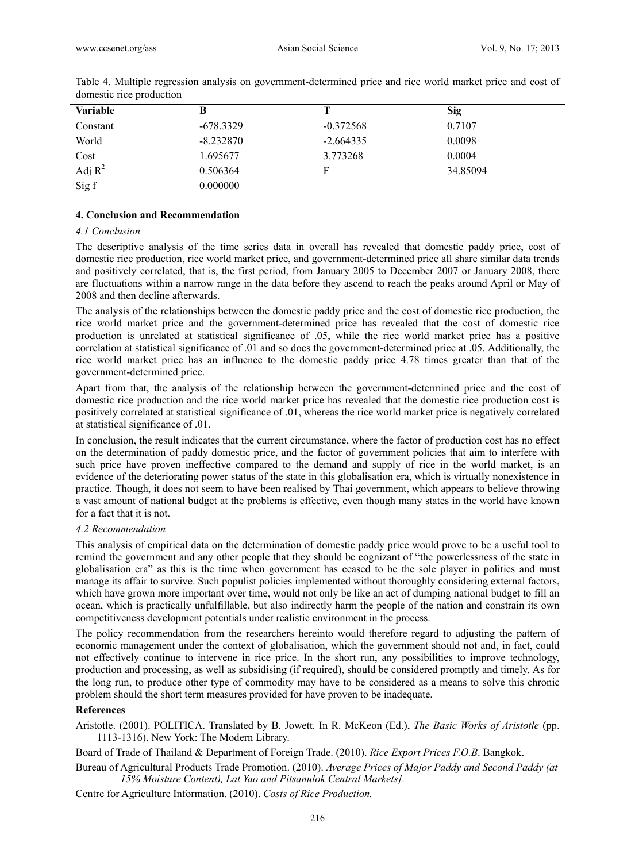| <b>Variable</b> | B           |             | Sig      |
|-----------------|-------------|-------------|----------|
| Constant        | $-678.3329$ | $-0.372568$ | 0.7107   |
| World           | $-8.232870$ | $-2.664335$ | 0.0098   |
| Cost            | 1.695677    | 3.773268    | 0.0004   |
| Adj $R^2$       | 0.506364    | F           | 34.85094 |
| Sig f           | 0.000000    |             |          |

Table 4. Multiple regression analysis on government-determined price and rice world market price and cost of domestic rice production

#### **4. Conclusion and Recommendation**

## *4.1 Conclusion*

The descriptive analysis of the time series data in overall has revealed that domestic paddy price, cost of domestic rice production, rice world market price, and government-determined price all share similar data trends and positively correlated, that is, the first period, from January 2005 to December 2007 or January 2008, there are fluctuations within a narrow range in the data before they ascend to reach the peaks around April or May of 2008 and then decline afterwards.

The analysis of the relationships between the domestic paddy price and the cost of domestic rice production, the rice world market price and the government-determined price has revealed that the cost of domestic rice production is unrelated at statistical significance of .05, while the rice world market price has a positive correlation at statistical significance of .01 and so does the government-determined price at .05. Additionally, the rice world market price has an influence to the domestic paddy price 4.78 times greater than that of the government-determined price.

Apart from that, the analysis of the relationship between the government-determined price and the cost of domestic rice production and the rice world market price has revealed that the domestic rice production cost is positively correlated at statistical significance of .01, whereas the rice world market price is negatively correlated at statistical significance of .01.

In conclusion, the result indicates that the current circumstance, where the factor of production cost has no effect on the determination of paddy domestic price, and the factor of government policies that aim to interfere with such price have proven ineffective compared to the demand and supply of rice in the world market, is an evidence of the deteriorating power status of the state in this globalisation era, which is virtually nonexistence in practice. Though, it does not seem to have been realised by Thai government, which appears to believe throwing a vast amount of national budget at the problems is effective, even though many states in the world have known for a fact that it is not.

#### *4.2 Recommendation*

This analysis of empirical data on the determination of domestic paddy price would prove to be a useful tool to remind the government and any other people that they should be cognizant of "the powerlessness of the state in globalisation era" as this is the time when government has ceased to be the sole player in politics and must manage its affair to survive. Such populist policies implemented without thoroughly considering external factors, which have grown more important over time, would not only be like an act of dumping national budget to fill an ocean, which is practically unfulfillable, but also indirectly harm the people of the nation and constrain its own competitiveness development potentials under realistic environment in the process.

The policy recommendation from the researchers hereinto would therefore regard to adjusting the pattern of economic management under the context of globalisation, which the government should not and, in fact, could not effectively continue to intervene in rice price. In the short run, any possibilities to improve technology, production and processing, as well as subsidising (if required), should be considered promptly and timely. As for the long run, to produce other type of commodity may have to be considered as a means to solve this chronic problem should the short term measures provided for have proven to be inadequate.

## **References**

Aristotle. (2001). POLITICA. Translated by B. Jowett. In R. McKeon (Ed.), *The Basic Works of Aristotle* (pp. 1113-1316). New York: The Modern Library.

Board of Trade of Thailand & Department of Foreign Trade. (2010). *Rice Export Prices F.O.B*. Bangkok.

Bureau of Agricultural Products Trade Promotion. (2010). *Average Prices of Major Paddy and Second Paddy (at 15% Moisture Content), Lat Yao and Pitsanulok Central Markets].*

Centre for Agriculture Information. (2010). *Costs of Rice Production.*